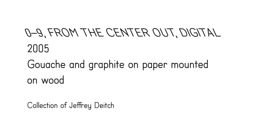# 0–9, FROM THE CENTER OUT, DIGITAL 2005

### Gouache and graphite on paper mounted on wood

Collection of Jeffrey Deitch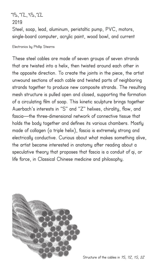7S, 7Z, 1S, 2Z 2019 Steel, soap, lead, aluminum, peristaltic pump, PVC, motors, single-board computer, acrylic paint, wood bowl, and current

Electronics by Phillip Stearns

These steel cables are made of seven groups of seven strands that are twisted into a helix, then twisted around each other in the opposite direction. To create the joints in the piece, the artist unwound sections of each cable and twisted parts of neighboring strands together to produce new composite strands. The resulting mesh structure is pulled open and closed, supporting the formation of a circulating film of soap. This kinetic sculpture brings together Auerbach's interests in "S" and "Z" helixes, chirality, flow, and fascia—the three-dimensional network of connective tissue that holds the body together and defines its various chambers. Mostly made of collagen (a triple helix), fascia is extremely strong and electrically conductive. Curious about what makes something alive, the artist became interested in anatomy after reading about a speculative theory that proposes that fascia is a conduit of qi, or life force, in Classical Chinese medicine and philosophy.

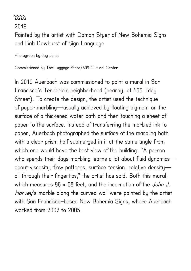### 2020

2019

Painted by the artist with Damon Styer of New Bohemia Signs and Bob Dewhurst of Sign Language

Photograph by Jay Jones

Commissioned by The Luggage Store/509 Cultural Center

In 2019 Auerbach was commissioned to paint a mural in San Francisco's Tenderloin neighborhood (nearby, at 455 Eddy Street). To create the design, the artist used the technique of paper marbling—usually achieved by floating pigment on the surface of a thickened water bath and then touching a sheet of paper to the surface. Instead of transferring the marbled ink to paper, Auerbach photographed the surface of the marbling bath with a clear prism half submerged in it at the same angle from which one would have the best view of the building. "A person who spends their days marbling learns a lot about fluid dynamics about viscosity, flow patterns, surface tension, relative density all through their fingertips," the artist has said. Both this mural, which measures 96 x 68 feet, and the incarnation of the John J. Harvey's marble along the curved wall were painted by the artist with San Francisco–based New Bohemia Signs, where Auerbach worked from 2002 to 2005.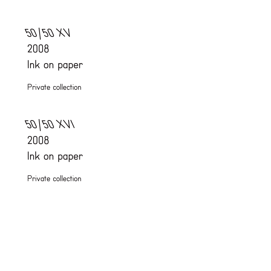# 50/50 XV 2008 Ink on paper

Private collection

50/50 XVI 2008 Ink on paper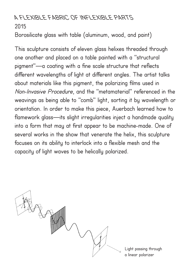# A FLEXIBLE FABRIC OF INFLEXIBLE PARTS 2015

Borosilicate glass with table (aluminum, wood, and paint)

This sculpture consists of eleven glass helixes threaded through one another and placed on a table painted with a "structural pigment"—a coating with a fine scale structure that reflects different wavelengths of light at different angles. The artist talks about materials like this pigment, the polarizing films used in Non-Invasive Procedure, and the "metamaterial" referenced in the weavings as being able to "comb" light, sorting it by wavelength or orientation. In order to make this piece, Auerbach learned how to flamework glass—its slight irregularities inject a handmade quality into a form that may at first appear to be machine-made. One of several works in the show that venerate the helix, this sculpture focuses on its ability to interlock into a flexible mesh and the capacity of light waves to be helically polarized.



Light passing through a linear polarizer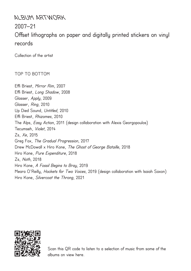#### ALBUM ARTWORK

2007–21

# Offset lithographs on paper and digitally printed stickers on vinyl records

Collection of the artist

#### TOP TO BOTTOM

Effi Briest, Mirror Rim, 2007 Effi Briest, Long Shadow, 2008 Glasser, Apply, 2009 Glasser, Ring, 2010 Up Died Sound, Untitled, 2010 Effi Briest, Rhizomes, 2010 The Alps, *Easy Action*, 2011 (design collaboration with Alexis Georgopoulos) Tecumseh, Violet, 2014 Zs, Xe, 2015 Greg Fox, The Gradual Progression, 2017 Drew McDowall x Hiro Kone, The Ghost of George Bataille, 2018 Hiro Kone, Pure Expenditure, 2018 Zs, Noth, 2018 Hiro Kone, A Fossil Begins to Bray, 2019 Meara O'Reilly, Hockets for Two Voices, 2019 (design collaboration with Isaiah Saxon) Hiro Kone, Silvercoat the Throng, 2021



Scan this QR code to listen to a selection of music from some of the albums on view here.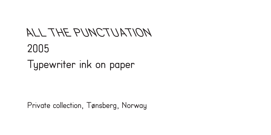# ALL THE PUNCTUATION 2005 Typewriter ink on paper

Private collection, Tønsberg, Norway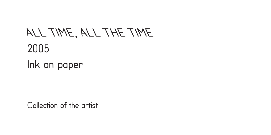### ALL TIME, ALL THE TIME 2005 Ink on paper

Collection of the artist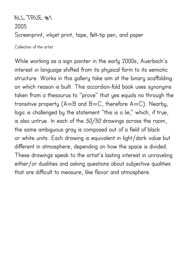# ALL TRUE #1 2005 Screenprint, inkjet print, tape, felt-tip pen, and paper

Collection of the artist

While working as a sign painter in the early 2000s, Auerbach's interest in language shifted from its physical form to its semiotic structure. Works in this gallery take aim at the binary scaffolding on which reason is built. This accordion-fold book uses synonyms taken from a thesaurus to "prove" that yes equals no through the transitive property ( $A=B$  and  $B=C$ , therefore  $A=C$ ). Nearby, logic is challenged by the statement "this is a lie," which, if true, is also untrue. In each of the  $50/50$  drawings across the room, the same ambiguous gray is composed out of a field of black or white units. Each drawing is equivalent in light/dark value but different in atmosphere, depending on how the space is divided. These drawings speak to the artist's lasting interest in unraveling either/or dualities and asking questions about subjective qualities that are difficult to measure, like flavor and atmosphere.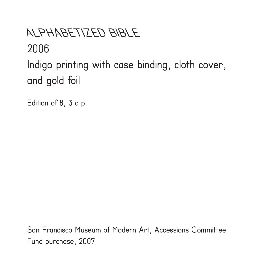# ALPHABETIZED BIBLE 2006 Indigo printing with case binding, cloth cover, and gold foil

Edition of 8, 3 a.p.

San Francisco Museum of Modern Art, Accessions Committee Fund purchase, 2007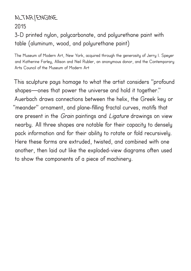# ALTAR/ENGINE 2015 3-D printed nylon, polycarbonate, and polyurethane paint with

table (aluminum, wood, and polyurethane paint)

The Museum of Modern Art, New York, acquired through the generosity of Jerry I. Speyer and Katherine Farley, Allison and Neil Rubler, an anonymous donor, and the Contemporary Arts Council of the Museum of Modern Art

This sculpture pays homage to what the artist considers "profound shapes—ones that power the universe and hold it together." Auerbach draws connections between the helix, the Greek key or "meander" ornament, and plane-filling fractal curves, motifs that are present in the *Grain* paintings and *Ligature* drawings on view nearby. All three shapes are notable for their capacity to densely pack information and for their ability to rotate or fold recursively. Here these forms are extruded, twisted, and combined with one another, then laid out like the exploded-view diagrams often used to show the components of a piece of machinery.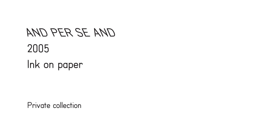AND PER SE AND 2005 Ink on paper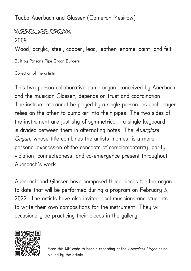Tauba Auerbach and Glasser (Cameron Mesirow)

AUERGLASS ORGAN 2009 Wood, acrylic, steel, copper, lead, leather, enamel paint, and felt Built by Parsons Pipe Organ Builders

Collection of the artists

This two-person collaborative pump organ, conceived by Auerbach and the musician Glasser, depends on trust and coordination. The instrument cannot be played by a single person, as each player relies on the other to pump air into their pipes. The two sides of the instrument are just shy of symmetrical—a single keyboard is divided between them in alternating notes. The Auerglass Organ, whose title combines the artists' names, is a more personal expression of the concepts of complementarity, parity violation, connectedness, and co-emergence present throughout Auerbach's work.

Auerbach and Glasser have composed three pieces for the organ to date that will be performed during a program on February 3, 2022. The artists have also invited local musicians and students to write their own compositions for the instrument. They will occasionally be practicing their pieces in the gallery.



Scan this QR code to hear a recording of the Auerglass Organ being played by the artists.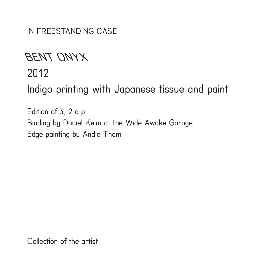IN FREESTANDING CASE

### BENT ONYX

#### 2012

Indigo printing with Japanese tissue and paint

Edition of 3, 2 a.p. Binding by Daniel Kelm at the Wide Awake Garage Edge painting by Andie Tham

Collection of the artist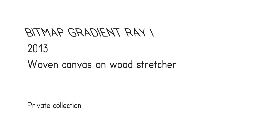# BITMAP GRADIENT RAY I 2013 Woven canvas on wood stretcher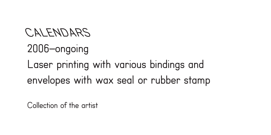#### CALENDARS

### 2006–ongoing Laser printing with various bindings and

envelopes with wax seal or rubber stamp

Collection of the artist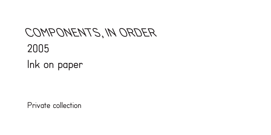### COMPONENTS, IN ORDER 2005 Ink on paper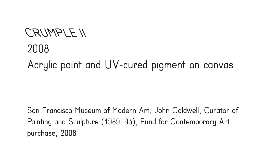# CRUMPLE II 2008 Acrylic paint and UV-cured pigment on canvas

San Francisco Museum of Modern Art, John Caldwell, Curator of Painting and Sculpture (1989–93), Fund for Contemporary Art purchase, 2008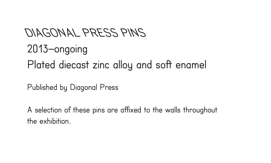# DIAGONAL PRESS PINS 2013–ongoing Plated diecast zinc alloy and soft enamel

Published by Diagonal Press

A selection of these pins are affixed to the walls throughout the exhibition.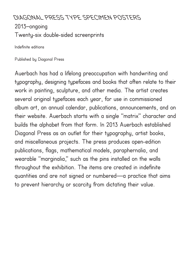## DIAGONAL PRESS TYPE SPECIMEN POSTERS 2013–ongoing Twenty-six double-sided screenprints

Indefinite editions

Published by Diagonal Press

Auerbach has had a lifelong preoccupation with handwriting and typography, designing typefaces and books that often relate to their work in painting, sculpture, and other media. The artist creates several original typefaces each year, for use in commissioned album art, an annual calendar, publications, announcements, and on their website. Auerbach starts with a single "matrix" character and builds the alphabet from that form. In 2013 Auerbach established Diagonal Press as an outlet for their typography, artist books, and miscellaneous projects. The press produces open-edition publications, flags, mathematical models, paraphernalia, and wearable "marginalia," such as the pins installed on the walls throughout the exhibition. The items are created in indefinite quantities and are not signed or numbered—a practice that aims to prevent hierarchy or scarcity from dictating their value.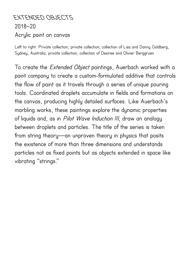# EXTENDED OBJECTS 2018–20 Acrylic paint on canvas

Left to right: Private collection; private collection; collection of Lisa and Danny Goldberg, Sydney, Australia; private collection; collection of Desiree and Olivier Berggruen

To create the Extended Object paintings, Auerbach worked with a paint company to create a custom-formulated additive that controls the flow of paint as it travels through a series of unique pouring tools. Coordinated droplets accumulate in fields and formations on the canvas, producing highly detailed surfaces. Like Auerbach's marbling works, these paintings explore the dynamic properties of liquids and, as in *Pilot Wave Induction III*, draw an analogy between droplets and particles. The title of the series is taken from string theory—an unproven theory in physics that posits the existence of more than three dimensions and understands particles not as fixed points but as objects extended in space like vibrating "strings."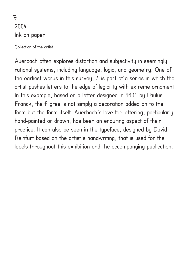F 2004 Ink on paper

Collection of the artist

Auerbach often explores distortion and subjectivity in seemingly rational systems, including language, logic, and geometry. One of the earliest works in this survey,  $F$  is part of a series in which the artist pushes letters to the edge of legibility with extreme ornament. In this example, based on a letter designed in 1601 by Paulus Franck, the filigree is not simply a decoration added on to the form but the form itself. Auerbach's love for lettering, particularly hand-painted or drawn, has been an enduring aspect of their practice. It can also be seen in the typeface, designed by David Reinfurt based on the artist's handwriting, that is used for the labels throughout this exhibition and the accompanying publication.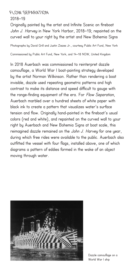#### FLOW SEPARATION

#### 2018–19

Originally painted by the artist and Infinite Scenic on fireboat John J. Harvey in New York Harbor, 2018–19; repainted on the curved wall to your right by the artist and New Bohemia Signs

Photographs by David Grill and Justin Ziezes Jr., courtesy Public Art Fund, New York

Commissioned by Public Art Fund, New York, and 14–18 NOW, United Kingdom

In 2018 Auerbach was commissioned to reinterpret dazzle camouflage, a World War I boat-painting strategy developed by the artist Norman Wilkinson. Rather than rendering a boat invisible, dazzle used repeating geometric patterns and high contrast to make its distance and speed difficult to gauge with the range-finding equipment of the era. For Flow Separation, Auerbach marbled over a hundred sheets of white paper with black ink to create a pattern that visualizes water's surface tension and flow. Originally hand-painted in the fireboat's usual colors (red and white), and repainted on the curved wall to your right by Auerbach and New Bohemia Signs at boat scale, this reimagined dazzle remained on the John J. Harvey for one year, during which free rides were available to the public. Auerbach also outfitted the vessel with four flags, installed above, one of which diagrams a pattern of eddies formed in the wake of an object moving through water.



Dazzle camouflage on a World War I ship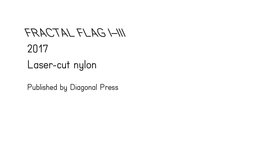## FRACTAL FLAG I–III 2017 Laser-cut nylon

Published by Diagonal Press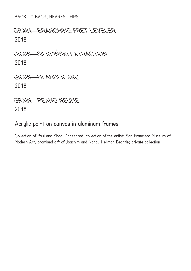BACK TO BACK, NEAREST FIRST

# GRAIN—BRANCHING FRET LEVELER 2018

GRAIN—SIERPIŃSKI EXTRACTION 2018

### GRAIN—MEANDER ARC 2018

### GRAIN—PEANO NEUME 2018

#### Acrylic paint on canvas in aluminum frames

Collection of Paul and Shadi Daneshrad; collection of the artist; San Francisco Museum of Modern Art, promised gift of Joachim and Nancy Hellman Bechtle; private collection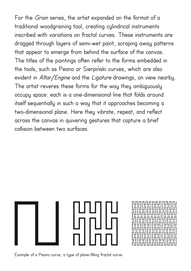For the Grain series, the artist expanded on the format of a traditional woodgraining tool, creating cylindrical instruments inscribed with variations on fractal curves. These instruments are dragged through layers of semi-wet paint, scraping away patterns that appear to emerge from behind the surface of the canvas. The titles of the paintings often refer to the forms embedded in the tools, such as Peano or Sierpiński curves, which are also evident in Altar/Engine and the Ligature drawings, on view nearby. The artist reveres these forms for the way they ambiguously occupy space: each is a one-dimensional line that folds around itself sequentially in such a way that it approaches becoming a two-dimensional plane. Here they vibrate, repeat, and reflect across the canvas in quivering gestures that capture a brief collision between two surfaces.



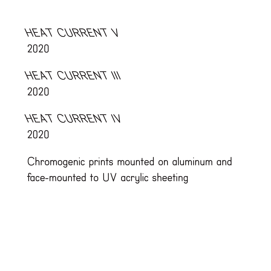HEAT CURRENT V 2020

HEAT CURRENT III 2020

# HEAT CURRENT IV 2020

Chromogenic prints mounted on aluminum and face-mounted to UV acrylic sheeting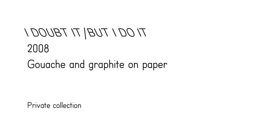# TI 001 TUB $|T$  TBU001 2008 Gouache and graphite on paper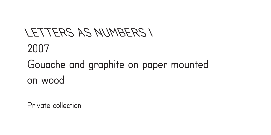# LETTERS AS NUMBERS I 2007 Gouache and graphite on paper mounted on wood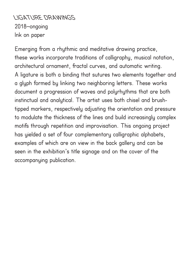LIGATURE DRAWINGS 2018–ongoing Ink on paper

Emerging from a rhythmic and meditative drawing practice, these works incorporate traditions of calligraphy, musical notation, architectural ornament, fractal curves, and automatic writing. A ligature is both a binding that sutures two elements together and a glyph formed by linking two neighboring letters. These works document a progression of waves and polyrhythms that are both instinctual and analytical. The artist uses both chisel and brushtipped markers, respectively adjusting the orientation and pressure to modulate the thickness of the lines and build increasingly complex motifs through repetition and improvisation. This ongoing project has yielded a set of four complementary calligraphic alphabets, examples of which are on view in the back gallery and can be seen in the exhibition's title signage and on the cover of the accompanying publication.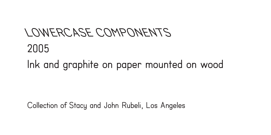# LOWERCASE COMPONENTS 2005 Ink and graphite on paper mounted on wood

Collection of Stacy and John Rubeli, Los Angeles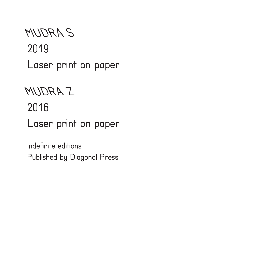# MUDRA S 2019 Laser print on paper

# MUDRA Z

#### 2016

Laser print on paper

Indefinite editions Published by Diagonal Press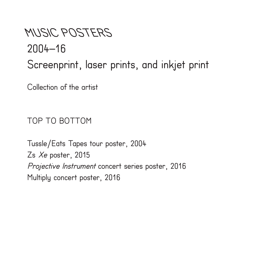# MUSIC POSTERS 2004–16 Screenprint, laser prints, and inkjet print

Collection of the artist

TOP TO BOTTOM

Tussle/Eats Tapes tour poster, 2004 Zs Xe poster, 2015 Projective Instrument concert series poster, 2016 Multiply concert poster, 2016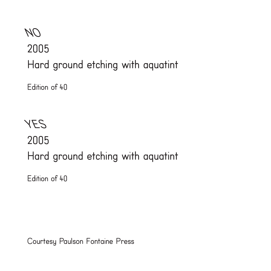# NO 2005 Hard ground etching with aquatint

Edition of 40

YES 2005 Hard ground etching with aquatint

Edition of 40

Courtesy Paulson Fontaine Press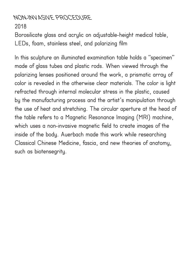### NON-INVASIVE PROCEDURE

2018

Borosilicate glass and acrylic on adjustable-height medical table, LEDs, foam, stainless steel, and polarizing film

In this sculpture an illuminated examination table holds a "specimen" made of glass tubes and plastic rods. When viewed through the polarizing lenses positioned around the work, a prismatic array of color is revealed in the otherwise clear materials. The color is light refracted through internal molecular stress in the plastic, caused by the manufacturing process and the artist's manipulation through the use of heat and stretching. The circular aperture at the head of the table refers to a Magnetic Resonance Imaging (MRI) machine, which uses a non-invasive magnetic field to create images of the inside of the body. Auerbach made this work while researching Classical Chinese Medicine, fascia, and new theories of anatomy, such as biotensegrity.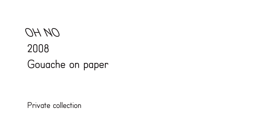# OH NO 2008 Gouache on paper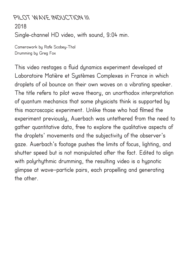# PILOT WAVE INDUCTION III 2018 Single-channel HD video, with sound, 9:04 min.

Camerawork by Rafe Scobey-Thal Drumming by Greg Fox

This video restages a fluid dynamics experiment developed at Laboratoire Matière et Systèmes Complexes in France in which droplets of oil bounce on their own waves on a vibrating speaker. The title refers to pilot wave theory, an unorthodox interpretation of quantum mechanics that some physicists think is supported by this macroscopic experiment. Unlike those who had filmed the experiment previously, Auerbach was untethered from the need to gather quantitative data, free to explore the qualitative aspects of the droplets' movements and the subjectivity of the observer's gaze. Auerbach's footage pushes the limits of focus, lighting, and shutter speed but is not manipulated after the fact. Edited to align with polyrhythmic drumming, the resulting video is a hypnotic glimpse at wave–particle pairs, each propelling and generating the other.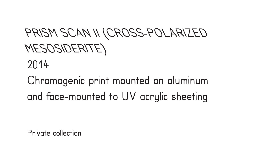# PRISM SCAN II (CROSS-POLARIZED MESOSIDERITE)

2014

Chromogenic print mounted on aluminum and face-mounted to UV acrylic sheeting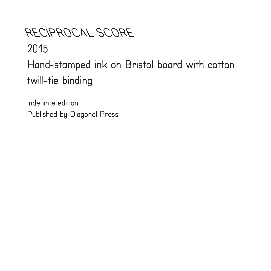# RECIPROCAL SCORE 2015 Hand-stamped ink on Bristol board with cotton twill-tie binding

Indefinite edition Published by Diagonal Press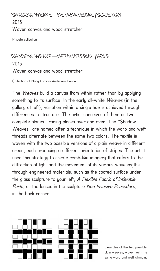SHADOW WEAVE—METAMATERIAL/SLICE RAY 2013 Woven canvas and wood stretcher

Private collection

# SHADOW WEAVE—METAMATERIAL/HOLE 2015 Woven canvas and wood stretcher

Collection of Mary Patricia Anderson Pence

The Weaves build a canvas from within rather than by applying something to its surface. In the early all-white Weaves (in the gallery at left), variation within a single hue is achieved through differences in structure. The artist conceives of them as two complete planes, trading places over and over. The "Shadow Weaves" are named after a technique in which the warp and weft threads alternate between the same two colors. The textile is woven with the two possible versions of a plain weave in different areas, each producing a different orientation of stripes. The artist used this strategy to create comb-like imagery that refers to the diffraction of light and the movement of its various wavelengths through engineered materials, such as the coated surface under the glass sculpture to your left, A Flexible Fabric of Inflexible Parts, or the lenses in the sculpture Non-Invasive Procedure, in the back corner.





Examples of the two possible plain weaves, woven with the same warp and weft stringing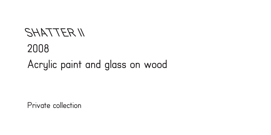# SHATTER II 2008 Acrylic paint and glass on wood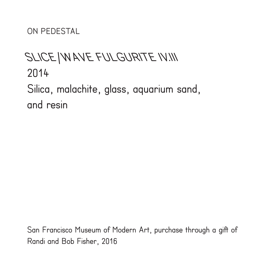ON PEDESTAL

# SLICE/WAVE FULGURITE IV.III 2014 Silica, malachite, glass, aquarium sand, and resin

San Francisco Museum of Modern Art, purchase through a gift of Randi and Bob Fisher, 2016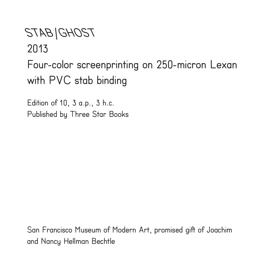STAB/GHOST 2013 Four-color screenprinting on 250-micron Lexan with PVC stab binding

Edition of 10, 3 a.p., 3 h.c. Published by Three Star Books

San Francisco Museum of Modern Art, promised gift of Joachim and Nancy Hellman Bechtle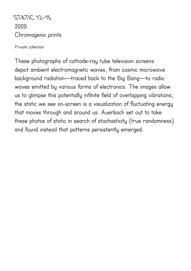STATIC 12–15 2009 Chromogenic prints

Private collection

These photographs of cathode-ray tube television screens depict ambient electromagnetic waves, from cosmic microwave background radiation—traced back to the Big Bang—to radio waves emitted by various forms of electronics. The images allow us to glimpse this potentially infinite field of overlapping vibrations; the static we see on-screen is a visualization of fluctuating energy that moves through and around us. Auerbach set out to take these photos of static in search of stochasticity (true randomness) and found instead that patterns persistently emerged.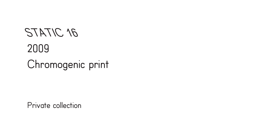# STATIC 16 2009 Chromogenic print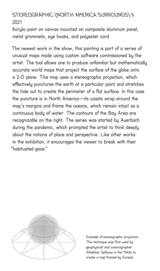# STEREOGRAPHIC (NORTH AMERICA SURROUNDS) II 2021

Acrylic paint on canvas mounted on composite aluminum panel, metal grommets, eye hooks, and polyester cord

The newest work in the show, this painting is part of a series of unusual maps made using custom software commissioned by the artist. The tool allows one to produce unfamiliar but mathematically accurate world maps that project the surface of the globe onto a 2-D plane. This map uses a stereographic projection, which effectively punctures the earth at a particular point and stretches the hole out to create the perimeter of a flat surface. In this case the puncture is in North America—its coasts wrap around the map's margins and frame the oceans, which remain intact as a continuous body of water. The contours of the Bay Area are recognizable on the right. The series was started by Auerbach during the pandemic, which prompted the artist to think deeply about the notions of place and perspective. Like other works in the exhibition, it encourages the viewer to break with their "habituated gaze."



Example of stereographic projection. This technique was first used by geophysicist and oceanographer Athelstan Spilhaus in the 1940s to create a map framed by Eurasia.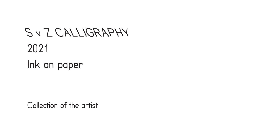# S v Z CALLIGRAPHY 2021 Ink on paper

Collection of the artist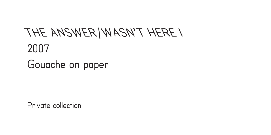## THE ANSWER/WASN'T HERE I 2007 Gouache on paper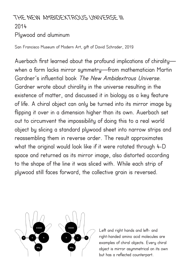# THE NEW AMBIDEXTROUS UNIVERSE III 2014 Plywood and aluminum

San Francisco Museum of Modern Art, gift of David Schrader, 2019

Auerbach first learned about the profound implications of chirality when a form lacks mirror symmetry—from mathematician Martin Gardner's influential book The New Ambidextrous Universe. Gardner wrote about chirality in the universe resulting in the existence of matter, and discussed it in biology as a key feature of life. A chiral object can only be turned into its mirror image by flipping it over in a dimension higher than its own. Auerbach set out to circumvent the impossibility of doing this to a real world object by slicing a standard plywood sheet into narrow strips and reassembling them in reverse order. The result approximates what the original would look like if it were rotated through 4-D space and returned as its mirror image, also distorted according to the shape of the line it was sliced with. While each strip of plywood still faces forward, the collective grain is reversed.



Left and right hands and left- and right-handed amino acid molecules are examples of chiral objects. Every chiral object is mirror asymmetrical on its own but has a reflected counterpart.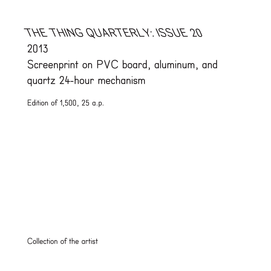## THE THING QUARTERLY: ISSUE 20 2013 Screenprint on PVC board, aluminum, and

quartz 24-hour mechanism

Edition of 1,500, 25 a.p.

Collection of the artist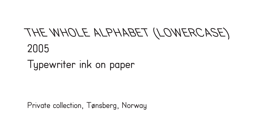# THE WHOLE ALPHABET (LOWERCASE) 2005

Typewriter ink on paper

Private collection, Tønsberg, Norway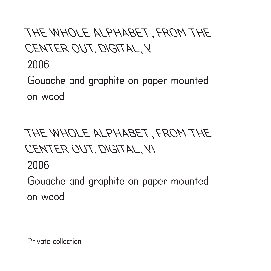# THE WHOLE ALPHABET, FROM THE CENTER OUT, DIGITAL, V

2006

Gouache and graphite on paper mounted on wood

# THE WHOLE ALPHABET, FROM THE CENTER OUT, DIGITAL, VI

2006

Gouache and graphite on paper mounted on wood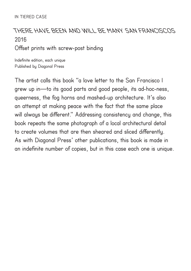#### IN TIERED CASE

# THERE HAVE BEEN AND WILL BE MANY SAN FRANCISCOS 2016

#### Offset prints with screw-post binding

Indefinite edition, each unique Published by Diagonal Press

The artist calls this book "a love letter to the San Francisco I grew up in—to its good parts and good people, its ad-hoc-ness, queerness, the fog horns and mashed-up architecture. It's also an attempt at making peace with the fact that the same place will always be different." Addressing consistency and change, this book repeats the same photograph of a local architectural detail to create volumes that are then sheared and sliced differently. As with Diagonal Press' other publications, this book is made in an indefinite number of copies, but in this case each one is unique.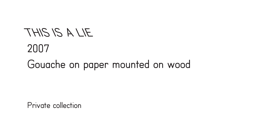# THIS IS A LIE 2007 Gouache on paper mounted on wood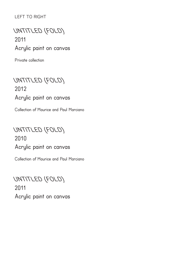#### LEFT TO RIGHT

# UNTITLED (FOLD) 2011 Acrylic paint on canvas

Private collection

UNTITLED (FOLD) 2012 Acrylic paint on canvas

Collection of Maurice and Paul Marciano

UNTITLED (FOLD) 2010 Acrylic paint on canvas

Collection of Maurice and Paul Marciano

UNTITLED (FOLD) 2011 Acrylic paint on canvas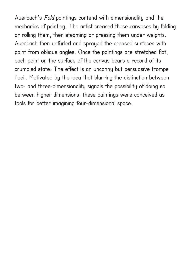Auerbach's Fold paintings contend with dimensionality and the mechanics of painting. The artist creased these canvases by folding or rolling them, then steaming or pressing them under weights. Auerbach then unfurled and sprayed the creased surfaces with paint from oblique angles. Once the paintings are stretched flat, each point on the surface of the canvas bears a record of its crumpled state. The effect is an uncanny but persuasive trompe l'oeil. Motivated by the idea that blurring the distinction between two- and three-dimensionality signals the possibility of doing so between higher dimensions, these paintings were conceived as tools for better imagining four-dimensional space.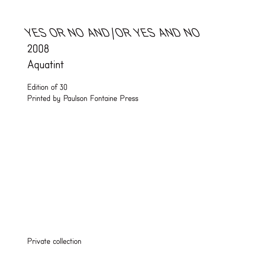# YES OR NO AND/OR YES AND NO 2008 Aquatint

Edition of 30 Printed by Paulson Fontaine Press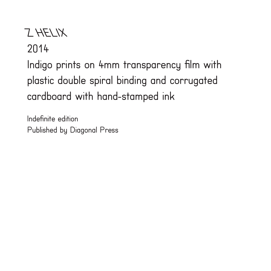# Z HELIX

2014

Indigo prints on 4mm transparency film with plastic double spiral binding and corrugated cardboard with hand-stamped ink

Indefinite edition Published by Diagonal Press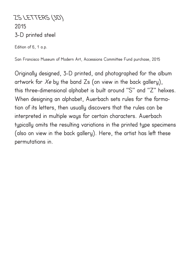ZS LETTERS (3D) 2015 3-D printed steel

Edition of 6, 1 a.p.

San Francisco Museum of Modern Art, Accessions Committee Fund purchase, 2015

Originally designed, 3-D printed, and photographed for the album artwork for  $Xe$  by the band  $Zs$  (on view in the back gallery), this three-dimensional alphabet is built around "S" and "Z" helixes. When designing an alphabet, Auerbach sets rules for the formation of its letters, then usually discovers that the rules can be interpreted in multiple ways for certain characters. Auerbach typically omits the resulting variations in the printed type specimens (also on view in the back gallery). Here, the artist has left these permutations in.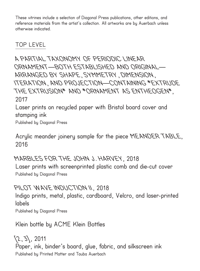These vitrines include a selection of Diagonal Press publications, other editions, and reference materials from the artist's collection. All artworks are by Auerbach unless otherwise indicated.

#### TOP LEVEL

A PARTIAL TAXONOMY OF PERIODIC LINEAR ORNAMENT—BOTH ESTABLISHED AND ORIGINAL— ARRANGED BY SHAPE, SYMMETRY, DIMENSION, ITERATION, AND PROJECTION—CONTAINING \*EXTRUDE THE EXTRUSION\* AND \*ORNAMENT AS ENTHEOGEN\*, 2017

Laser prints on recycled paper with Bristol board cover and stamping ink

Published by Diagonal Press

Acrylic meander joinery sample for the piece MEANDER TABLE, 2016

#### MARBLES FOR THE JOHN J. HARVEY, 2018

Laser prints with screenprinted plastic comb and die-cut cover Published by Diagonal Press

#### PILOT WAVE INDUCTION II, 2018

Indigo prints, metal, plastic, cardboard, Velcro, and laser-printed labels

Published by Diagonal Press

Klein bottle by ACME Klein Bottles

 $(2, 3)$ , 2011 Paper, ink, binder's board, glue, fabric, and silkscreen ink Published by Printed Matter and Tauba Auerbach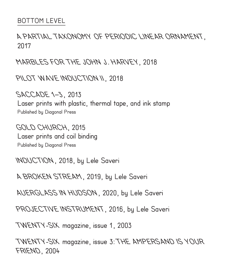#### BOTTOM LEVEL

### A PARTIAL TAXONOMY OF PERIODIC LINEAR ORNAMENT, 2017

MARBLES FOR THE JOHN J. HARVEY, 2018

PILOT WAVE INDUCTION II, 2018

SACCADE 1–3, 2013 Laser prints with plastic, thermal tape, and ink stamp Published by Diagonal Press

GOLD CHURCH, 2015 Laser prints and coil binding Published by Diagonal Press

INDUCTION, 2018, by Lele Saveri

A BROKEN STREAM, 2019, by Lele Saveri

AUERGLASS IN HUDSON, 2020, by Lele Saveri

PROJECTIVE INSTRUMENT, 2016, by Lele Saveri

TWENTY-SIX magazine, issue 1, 2003

TWENTY-SIX magazine, issue 3: THE AMPERSAND IS YOUR FRIEND, 2004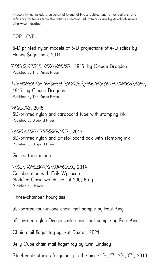These vitrines include a selection of Diagonal Press publications, other editions, and reference materials from the artist's collection. All artworks are by Auerbach unless otherwise indicated.

### TOP LEVEL

3-D printed nylon models of 3-D projections of 4-D solids by Henry Segerman, 2011

PROJECTIVE ORNAMENT, 1915, by Claude Bragdon Published by The Manas Press

A PRIMER OF HIGHER SPACE (THE FOURTH DIMENSION), 1913, by Claude Bragdon Published by The Manas Press

NOLOID, 2015 3D-printed nylon and cardboard tube with stamping ink Published by Diagonal Press

UNFOLDED TESSERACT, 2017 3D-printed nylon and Bristol board box with stamping ink Published by Diagonal Press

Galileo thermometer

THE FAMILIAR STRANGER, 2014 Collaboration with Erik Wysocan Modified Casio watch, ed. of 200, 8 a.p. Published by Halmos

Three-chamber hourglass

3D-printed four-in-one chain mail sample by Paul King

3D-printed nylon Dragonscale chain mail sample by Paul King

Chain mail fidget toy by Kat Baxter, 2021

Jelly Cube chain mail fidget toy by Erin Lindsay

Steel-cable studies for joinery in the piece 7S, 7Z, 1S, 2Z, 2019